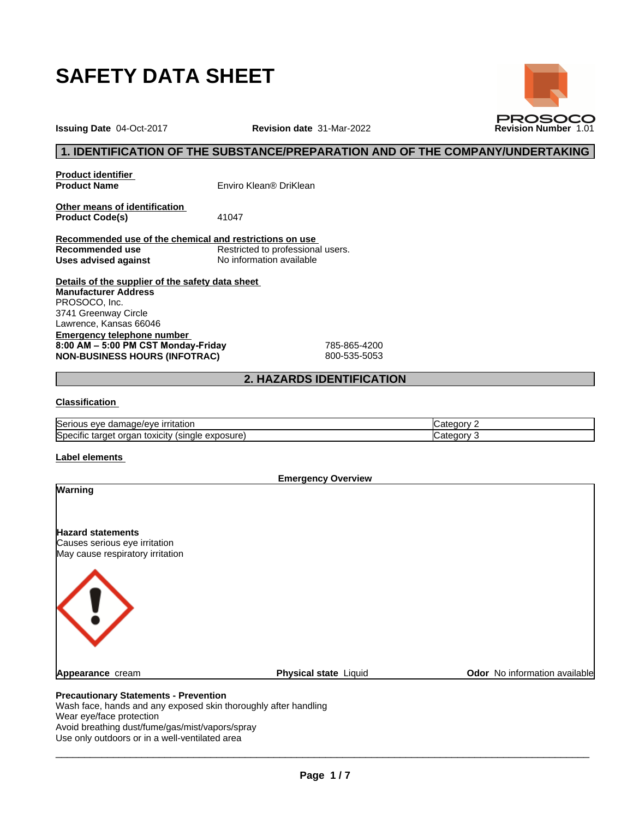

# **1. IDENTIFICATION OF THE SUBSTANCE/PREPARATION AND OF THE COMPANY/UNDERTAKING**

**Product identifier**

**Product Name** Enviro Klean® DriKlean

**Other means of identification**<br>**Product Code(s)** 41047 **Product Code(s)** 

**Recommended use of the chemical and restrictions on use Restricted to professional users. Uses advised against** No information available

**Details of the supplier of the safety data sheet Emergency telephone number 8:00AM–5:00PMCSTMonday-Friday** 785-865-4200 **NON-BUSINESS HOURS (INFOTRAC)** 800-535-5053 **Manufacturer Address** PROSOCO, Inc. 3741 Greenway Circle Lawrence, Kansas 66046

# **2. HAZARDS IDENTIFICATION**

## **Classification**

| $\sim$<br>irritatior<br><b>ISerious</b><br>ade/eve<br>eve<br>. gar                     | ----<br>.ate<br>זנזוי |
|----------------------------------------------------------------------------------------|-----------------------|
| Specific<br>exposure<br>target<br>toxicity<br>(sıngle<br>orgar<br>$\sim$<br>. .<br>. . | vione<br>.ate∕<br>. . |

#### **Label elements**

Wear eye/face protection

Avoid breathing dust/fume/gas/mist/vapors/spray Use only outdoors or in a well-ventilated area

**Emergency Overview**

| <b>Warning</b>                                                                                |                       |                               |
|-----------------------------------------------------------------------------------------------|-----------------------|-------------------------------|
| <b>Hazard statements</b><br>Causes serious eye irritation<br>May cause respiratory irritation |                       |                               |
|                                                                                               |                       |                               |
| Appearance cream                                                                              | Physical state Liquid | Odor No information available |



**Issuing Date** 04-Oct-2017 **Revision date** 31-Mar-2022 **Revision Number** 1.01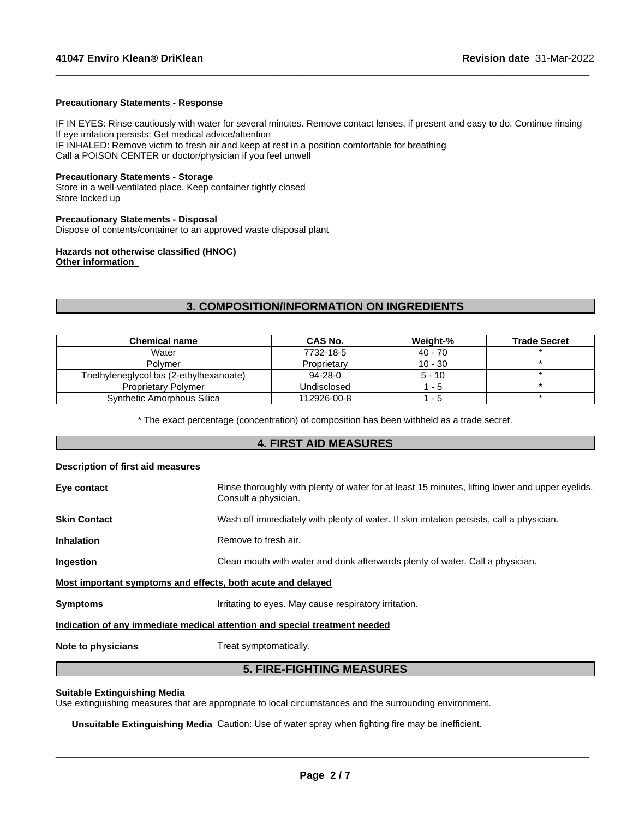#### **Precautionary Statements - Response**

IF IN EYES: Rinse cautiously with water for several minutes. Remove contact lenses, if present and easy to do. Continue rinsing If eye irritation persists: Get medical advice/attention IF INHALED: Remove victim to fresh air and keep at rest in a position comfortable for breathing

 $\_$  ,  $\_$  ,  $\_$  ,  $\_$  ,  $\_$  ,  $\_$  ,  $\_$  ,  $\_$  ,  $\_$  ,  $\_$  ,  $\_$  ,  $\_$  ,  $\_$  ,  $\_$  ,  $\_$  ,  $\_$  ,  $\_$  ,  $\_$  ,  $\_$  ,  $\_$  ,  $\_$  ,  $\_$  ,  $\_$  ,  $\_$  ,  $\_$  ,  $\_$  ,  $\_$  ,  $\_$  ,  $\_$  ,  $\_$  ,  $\_$  ,  $\_$  ,  $\_$  ,  $\_$  ,  $\_$  ,  $\_$  ,  $\_$  ,

Call a POISON CENTER or doctor/physician if you feel unwell

#### **Precautionary Statements - Storage**

Store in a well-ventilated place. Keep container tightly closed Store locked up

#### **Precautionary Statements - Disposal**

Dispose of contents/container to an approved waste disposal plant

# **Hazards not otherwise classified (HNOC)**

**Other information**

# **3. COMPOSITION/INFORMATION ON INGREDIENTS**

| <b>Chemical name</b>                     | CAS No.       | Weight-%  | <b>Trade Secret</b> |
|------------------------------------------|---------------|-----------|---------------------|
| Water                                    | 7732-18-5     | $40 - 70$ |                     |
| Polymer                                  | Proprietary   | $10 - 30$ |                     |
| Triethyleneglycol bis (2-ethylhexanoate) | $94 - 28 - 0$ | $5 - 10$  |                     |
| <b>Proprietary Polymer</b>               | Undisclosed   | - 5       |                     |
| Synthetic Amorphous Silica               | 112926-00-8   | - 5       |                     |

\* The exact percentage (concentration) ofcomposition has been withheld as a trade secret.

# **4. FIRST AID MEASURES**

## **Description of first aid measures**

|                                                             | Indication of any immediate medical attention and special treatment needed                                              |  |  |
|-------------------------------------------------------------|-------------------------------------------------------------------------------------------------------------------------|--|--|
| Symptoms                                                    | Irritating to eyes. May cause respiratory irritation.                                                                   |  |  |
| Most important symptoms and effects, both acute and delayed |                                                                                                                         |  |  |
| Ingestion                                                   | Clean mouth with water and drink afterwards plenty of water. Call a physician.                                          |  |  |
| <b>Inhalation</b>                                           | Remove to fresh air.                                                                                                    |  |  |
| Skin Contact                                                | Wash off immediately with plenty of water. If skin irritation persists, call a physician.                               |  |  |
| Eye contact                                                 | Rinse thoroughly with plenty of water for at least 15 minutes, lifting lower and upper eyelids.<br>Consult a physician. |  |  |
|                                                             |                                                                                                                         |  |  |

# **5. FIRE-FIGHTING MEASURES**

## **Suitable Extinguishing Media**

Use extinguishing measures that are appropriate to local circumstances and the surrounding environment.

**Unsuitable Extinguishing Media** Caution: Use of water spray when fighting fire may be inefficient.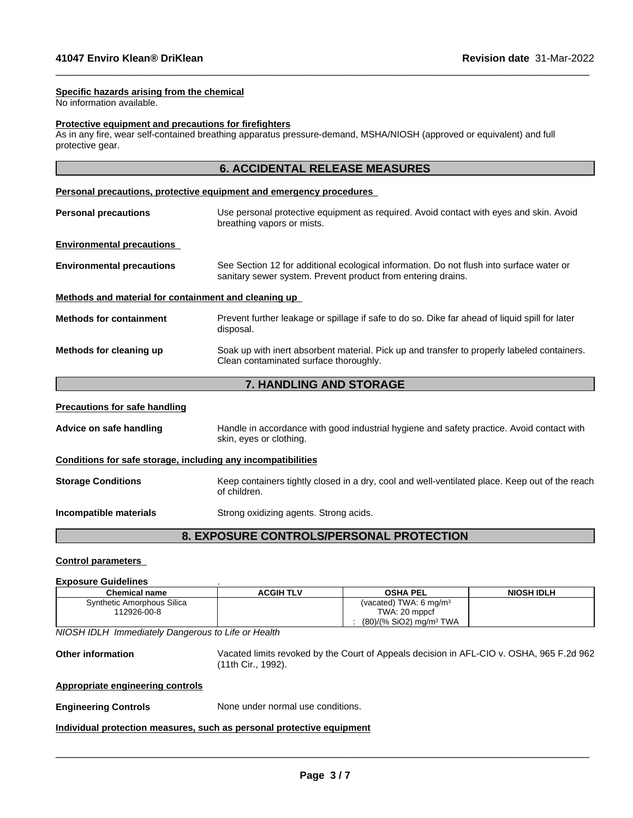#### **Specific hazards arising from the chemical**

No information available.

## **Protective equipment and precautions for firefighters**

As in any fire, wear self-contained breathing apparatus pressure-demand, MSHA/NIOSH (approved or equivalent) and full protective gear.

 $\_$  ,  $\_$  ,  $\_$  ,  $\_$  ,  $\_$  ,  $\_$  ,  $\_$  ,  $\_$  ,  $\_$  ,  $\_$  ,  $\_$  ,  $\_$  ,  $\_$  ,  $\_$  ,  $\_$  ,  $\_$  ,  $\_$  ,  $\_$  ,  $\_$  ,  $\_$  ,  $\_$  ,  $\_$  ,  $\_$  ,  $\_$  ,  $\_$  ,  $\_$  ,  $\_$  ,  $\_$  ,  $\_$  ,  $\_$  ,  $\_$  ,  $\_$  ,  $\_$  ,  $\_$  ,  $\_$  ,  $\_$  ,  $\_$  ,

|                                                              | <b>6. ACCIDENTAL RELEASE MEASURES</b>                                                                                                                    |  |  |
|--------------------------------------------------------------|----------------------------------------------------------------------------------------------------------------------------------------------------------|--|--|
|                                                              | <b>Personal precautions, protective equipment and emergency procedures</b>                                                                               |  |  |
| <b>Personal precautions</b>                                  | Use personal protective equipment as required. Avoid contact with eyes and skin. Avoid<br>breathing vapors or mists.                                     |  |  |
| <b>Environmental precautions</b>                             |                                                                                                                                                          |  |  |
| <b>Environmental precautions</b>                             | See Section 12 for additional ecological information. Do not flush into surface water or<br>sanitary sewer system. Prevent product from entering drains. |  |  |
| Methods and material for containment and cleaning up         |                                                                                                                                                          |  |  |
| <b>Methods for containment</b>                               | Prevent further leakage or spillage if safe to do so. Dike far ahead of liquid spill for later<br>disposal.                                              |  |  |
| Methods for cleaning up                                      | Soak up with inert absorbent material. Pick up and transfer to properly labeled containers.<br>Clean contaminated surface thoroughly.                    |  |  |
|                                                              | 7. HANDLING AND STORAGE                                                                                                                                  |  |  |
| <b>Precautions for safe handling</b>                         |                                                                                                                                                          |  |  |
| Advice on safe handling                                      | Handle in accordance with good industrial hygiene and safety practice. Avoid contact with<br>skin, eyes or clothing.                                     |  |  |
| Conditions for safe storage, including any incompatibilities |                                                                                                                                                          |  |  |
| <b>Storage Conditions</b>                                    | Keep containers tightly closed in a dry, cool and well-ventilated place. Keep out of the reach<br>of children.                                           |  |  |
|                                                              |                                                                                                                                                          |  |  |

**Incompatible materials** Strong oxidizing agents. Strong acids.

# **8. EXPOSURE CONTROLS/PERSONAL PROTECTION**

#### **Control parameters**

#### **Exposure Guidelines** .

| ______________________________ |           |                                       |                   |
|--------------------------------|-----------|---------------------------------------|-------------------|
| Chemical name                  | ACGIH TLV | <b>OSHA PEL</b>                       | <b>NIOSH IDLH</b> |
| Synthetic Amorphous Silica     |           | (vacated) TWA: 6 $ma/m3$              |                   |
| 12926-00-8                     |           | TWA: 20 mppcf                         |                   |
|                                |           | $(80)/(% SiO2)$ mg/m <sup>3</sup> TWA |                   |

*NIOSH IDLH Immediately Dangerous to Life or Health*

**Other information** Vacated limits revoked by the Court of Appeals decision in AFL-CIO v.OSHA, 965 F.2d 962 (11th Cir., 1992).

#### **Appropriate engineering controls**

**Engineering Controls** None under normal use conditions.

**Individual protection measures, such as personal protective equipment**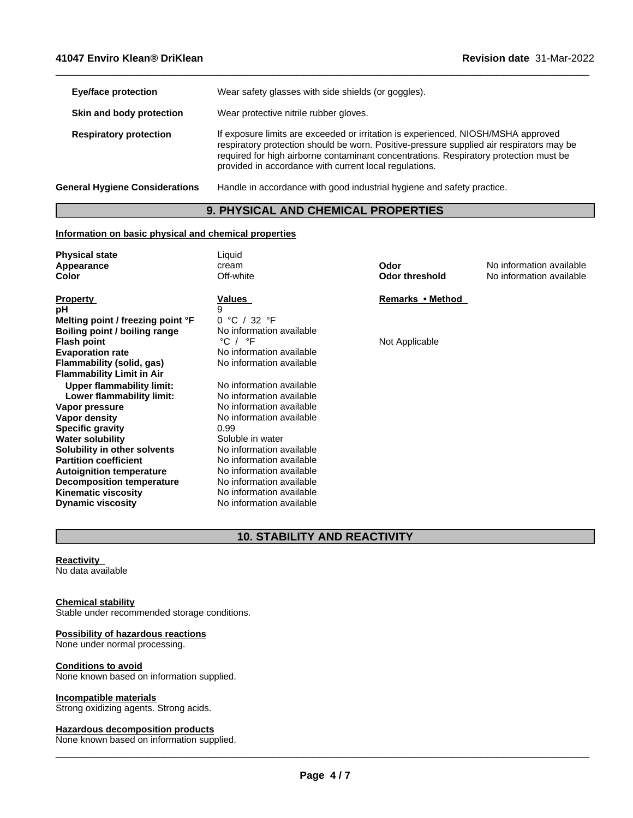| <b>Eye/face protection</b>            | Wear safety glasses with side shields (or goggles).                                                                                                                                                                                                                                                                              |
|---------------------------------------|----------------------------------------------------------------------------------------------------------------------------------------------------------------------------------------------------------------------------------------------------------------------------------------------------------------------------------|
| Skin and body protection              | Wear protective nitrile rubber gloves.                                                                                                                                                                                                                                                                                           |
| <b>Respiratory protection</b>         | If exposure limits are exceeded or irritation is experienced, NIOSH/MSHA approved<br>respiratory protection should be worn. Positive-pressure supplied air respirators may be<br>required for high airborne contaminant concentrations. Respiratory protection must be<br>provided in accordance with current local regulations. |
| <b>General Hygiene Considerations</b> | Handle in accordance with good industrial hygiene and safety practice.                                                                                                                                                                                                                                                           |
|                                       |                                                                                                                                                                                                                                                                                                                                  |

 $\_$  ,  $\_$  ,  $\_$  ,  $\_$  ,  $\_$  ,  $\_$  ,  $\_$  ,  $\_$  ,  $\_$  ,  $\_$  ,  $\_$  ,  $\_$  ,  $\_$  ,  $\_$  ,  $\_$  ,  $\_$  ,  $\_$  ,  $\_$  ,  $\_$  ,  $\_$  ,  $\_$  ,  $\_$  ,  $\_$  ,  $\_$  ,  $\_$  ,  $\_$  ,  $\_$  ,  $\_$  ,  $\_$  ,  $\_$  ,  $\_$  ,  $\_$  ,  $\_$  ,  $\_$  ,  $\_$  ,  $\_$  ,  $\_$  ,

# **9. PHYSICAL AND CHEMICAL PROPERTIES**

## **Information on basic physical and chemical properties**

| <b>Physical state</b>             | Liquid                      |                       |                          |
|-----------------------------------|-----------------------------|-----------------------|--------------------------|
| Appearance                        | cream                       | Odor                  | No information available |
| Color                             | Off-white                   | <b>Odor threshold</b> | No information available |
| <b>Property</b>                   | Values                      | Remarks • Method      |                          |
| рH                                |                             |                       |                          |
| Melting point / freezing point °F | 0 °C / 32 °F                |                       |                          |
| Boiling point / boiling range     | No information available    |                       |                          |
| <b>Flash point</b>                | $^{\circ}$ C / $^{\circ}$ F | Not Applicable        |                          |
| <b>Evaporation rate</b>           | No information available    |                       |                          |
| Flammability (solid, gas)         | No information available    |                       |                          |
| <b>Flammability Limit in Air</b>  |                             |                       |                          |
| <b>Upper flammability limit:</b>  | No information available    |                       |                          |
| Lower flammability limit:         | No information available    |                       |                          |
| Vapor pressure                    | No information available    |                       |                          |
| Vapor density                     | No information available    |                       |                          |
| <b>Specific gravity</b>           | 0.99                        |                       |                          |
| <b>Water solubility</b>           | Soluble in water            |                       |                          |
| Solubility in other solvents      | No information available    |                       |                          |
| <b>Partition coefficient</b>      | No information available    |                       |                          |
| <b>Autoignition temperature</b>   | No information available    |                       |                          |
| <b>Decomposition temperature</b>  | No information available    |                       |                          |
| <b>Kinematic viscosity</b>        | No information available    |                       |                          |
| <b>Dynamic viscosity</b>          | No information available    |                       |                          |

# **10. STABILITY AND REACTIVITY**

## **Reactivity**

No data available

#### **Chemical stability**

Stable under recommended storage conditions.

#### **Possibility of hazardous reactions**

None under normal processing.

#### **Conditions to avoid**

None known based on information supplied.

#### **Incompatible materials**

Strong oxidizing agents. Strong acids.

#### **Hazardous decomposition products**

None known based on information supplied.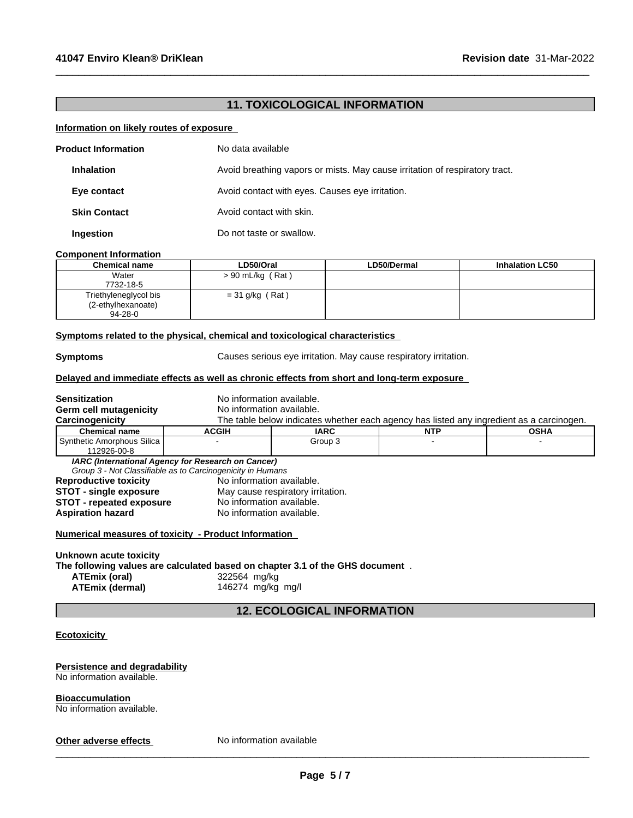# **11. TOXICOLOGICAL INFORMATION**

 $\_$  ,  $\_$  ,  $\_$  ,  $\_$  ,  $\_$  ,  $\_$  ,  $\_$  ,  $\_$  ,  $\_$  ,  $\_$  ,  $\_$  ,  $\_$  ,  $\_$  ,  $\_$  ,  $\_$  ,  $\_$  ,  $\_$  ,  $\_$  ,  $\_$  ,  $\_$  ,  $\_$  ,  $\_$  ,  $\_$  ,  $\_$  ,  $\_$  ,  $\_$  ,  $\_$  ,  $\_$  ,  $\_$  ,  $\_$  ,  $\_$  ,  $\_$  ,  $\_$  ,  $\_$  ,  $\_$  ,  $\_$  ,  $\_$  ,

#### **Information on likely routes of exposure**

| <b>Product Information</b> | No data available                                                           |
|----------------------------|-----------------------------------------------------------------------------|
| <b>Inhalation</b>          | Avoid breathing vapors or mists. May cause irritation of respiratory tract. |
| Eye contact                | Avoid contact with eyes. Causes eye irritation.                             |
| <b>Skin Contact</b>        | Avoid contact with skin.                                                    |
| Ingestion                  | Do not taste or swallow.                                                    |

#### **Component Information**

| <b>Chemical name</b>  | ∟D50/Oral          | <b>LD50/Dermal</b> | <b>Inhalation LC50</b> |
|-----------------------|--------------------|--------------------|------------------------|
| Water                 | $> 90$ mL/kg (Rat) |                    |                        |
| 7732-18-5             |                    |                    |                        |
| Triethyleneglycol bis | $=$ 31 g/kg (Rat)  |                    |                        |
| (2-ethylhexanoate)    |                    |                    |                        |
| $94 - 28 - 0$         |                    |                    |                        |

## **<u>Symptoms related to the physical, chemical and toxicological characteristics</u>**

**Symptoms** Causes serious eye irritation. May cause respiratory irritation.

## **Delayed and immediate effects as well as chronic effects from short and long-term exposure**

| <b>Sensitization</b>                                 | No information available.                                                                                        |                                                                                          |            |             |  |
|------------------------------------------------------|------------------------------------------------------------------------------------------------------------------|------------------------------------------------------------------------------------------|------------|-------------|--|
| Germ cell mutagenicity                               | No information available.                                                                                        |                                                                                          |            |             |  |
| Carcinogenicity                                      |                                                                                                                  | The table below indicates whether each agency has listed any ingredient as a carcinogen. |            |             |  |
| <b>Chemical name</b>                                 | <b>ACGIH</b>                                                                                                     | <b>IARC</b>                                                                              | <b>NTP</b> | <b>OSHA</b> |  |
| Synthetic Amorphous Silica<br>112926-00-8            |                                                                                                                  | Group 3                                                                                  |            |             |  |
|                                                      | IARC (International Agency for Research on Cancer)<br>Group 3 - Not Classifiable as to Carcinogenicity in Humans |                                                                                          |            |             |  |
| <b>Reproductive toxicity</b>                         | No information available.                                                                                        |                                                                                          |            |             |  |
| <b>STOT - single exposure</b>                        |                                                                                                                  | May cause respiratory irritation.                                                        |            |             |  |
| <b>STOT - repeated exposure</b>                      |                                                                                                                  | No information available.                                                                |            |             |  |
| <b>Aspiration hazard</b>                             |                                                                                                                  | No information available.                                                                |            |             |  |
| Numerical measures of toxicity - Product Information |                                                                                                                  |                                                                                          |            |             |  |
| Unknown acute toxicity                               |                                                                                                                  |                                                                                          |            |             |  |
|                                                      |                                                                                                                  | The following values are calculated based on chapter 3.1 of the GHS document.            |            |             |  |
| ATEmix (oral)                                        | 322564 mg/kg                                                                                                     |                                                                                          |            |             |  |
| <b>ATEmix (dermal)</b>                               | 146274 mg/kg mg/l                                                                                                |                                                                                          |            |             |  |
|                                                      |                                                                                                                  | <b>12. ECOLOGICAL INFORMATION</b>                                                        |            |             |  |

#### **Persistence and degradability** No information available.

**Bioaccumulation** No information available.

**Other adverse effects** No information available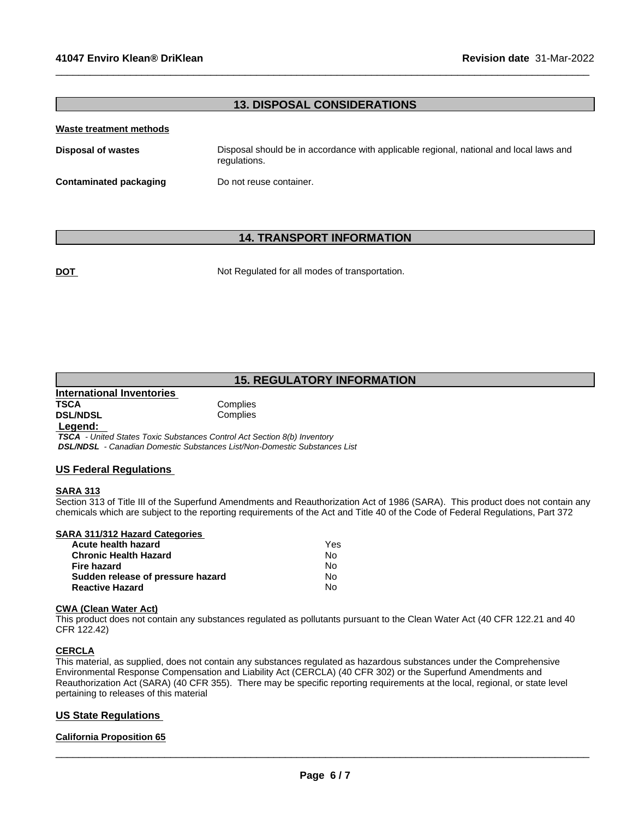# **13. DISPOSAL CONSIDERATIONS**

 $\_$  ,  $\_$  ,  $\_$  ,  $\_$  ,  $\_$  ,  $\_$  ,  $\_$  ,  $\_$  ,  $\_$  ,  $\_$  ,  $\_$  ,  $\_$  ,  $\_$  ,  $\_$  ,  $\_$  ,  $\_$  ,  $\_$  ,  $\_$  ,  $\_$  ,  $\_$  ,  $\_$  ,  $\_$  ,  $\_$  ,  $\_$  ,  $\_$  ,  $\_$  ,  $\_$  ,  $\_$  ,  $\_$  ,  $\_$  ,  $\_$  ,  $\_$  ,  $\_$  ,  $\_$  ,  $\_$  ,  $\_$  ,  $\_$  ,

#### **Waste treatment methods**

| Disposal of wastes            | Disposal should be in accordance with applicable regional, national and local laws and<br>regulations. |
|-------------------------------|--------------------------------------------------------------------------------------------------------|
| <b>Contaminated packaging</b> | Do not reuse container.                                                                                |

## **14. TRANSPORT INFORMATION**

**DOT** Not Regulated for all modes of transportation.

# **15. REGULATORY INFORMATION**

**International Inventories TSCA** Complies<br> **DSL/NDSL** Complies

**Complies** 

 **Legend:** 

 *TSCA - United States Toxic Substances Control Act Section 8(b) Inventory DSL/NDSL - Canadian Domestic Substances List/Non-Domestic Substances List*

#### **US Federal Regulations**

## **SARA 313**

Section 313 of Title III of the Superfund Amendments and Reauthorization Act of 1986 (SARA). This product does not contain any chemicals which are subject to the reporting requirements of the Act and Title 40 of the Code of Federal Regulations, Part 372

| SARA 311/312 Hazard Categories |  |
|--------------------------------|--|
| Acute health hazard            |  |

| Acute health hazard               | Yes |  |
|-----------------------------------|-----|--|
| Chronic Health Hazard             | No. |  |
| Fire hazard                       | N٥  |  |
| Sudden release of pressure hazard | No. |  |
| Reactive Hazard                   | N٥  |  |

#### **CWA** (Clean Water Act)

This product does not contain any substances regulated as pollutants pursuant to the Clean Water Act (40 CFR 122.21 and 40 CFR 122.42)

#### **CERCLA**

This material, as supplied, does not contain any substances regulated as hazardous substances under the Comprehensive Environmental Response Compensation and Liability Act (CERCLA) (40 CFR 302) or the Superfund Amendments and Reauthorization Act (SARA) (40 CFR 355). There may be specific reporting requirements at the local, regional, or state level pertaining to releases of this material

## **US State Regulations**

#### **California Proposition 65**